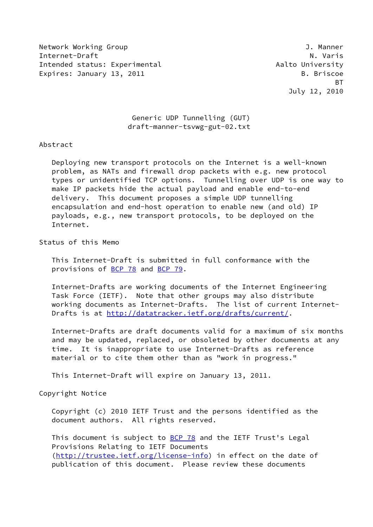Network Working Group J. Manner Internet-Draft N. Varis N. Varis N. Varis N. Varis N. Varis N. Varis N. Varis N. Varis N. Varis N. Varis N. Varis N. Varis N. Varis N. Varis N. Varis N. Varis N. Varis N. Varis N. Varis N. Varis N. Varis N. Varis N. Varis Intended status: Experimental Aalto University Expires: January 13, 2011 **B. B. Briscoe** 

<u>BT and the state of the state of the state of the state of the state of the state of the state of the state of the state of the state of the state of the state of the state of the state of the state of the state of the st</u> July 12, 2010

# Generic UDP Tunnelling (GUT) draft-manner-tsvwg-gut-02.txt

## Abstract

 Deploying new transport protocols on the Internet is a well-known problem, as NATs and firewall drop packets with e.g. new protocol types or unidentified TCP options. Tunnelling over UDP is one way to make IP packets hide the actual payload and enable end-to-end delivery. This document proposes a simple UDP tunnelling encapsulation and end-host operation to enable new (and old) IP payloads, e.g., new transport protocols, to be deployed on the Internet.

Status of this Memo

 This Internet-Draft is submitted in full conformance with the provisions of [BCP 78](https://datatracker.ietf.org/doc/pdf/bcp78) and [BCP 79](https://datatracker.ietf.org/doc/pdf/bcp79).

 Internet-Drafts are working documents of the Internet Engineering Task Force (IETF). Note that other groups may also distribute working documents as Internet-Drafts. The list of current Internet- Drafts is at<http://datatracker.ietf.org/drafts/current/>.

 Internet-Drafts are draft documents valid for a maximum of six months and may be updated, replaced, or obsoleted by other documents at any time. It is inappropriate to use Internet-Drafts as reference material or to cite them other than as "work in progress."

This Internet-Draft will expire on January 13, 2011.

Copyright Notice

 Copyright (c) 2010 IETF Trust and the persons identified as the document authors. All rights reserved.

This document is subject to **[BCP 78](https://datatracker.ietf.org/doc/pdf/bcp78)** and the IETF Trust's Legal Provisions Relating to IETF Documents [\(http://trustee.ietf.org/license-info](http://trustee.ietf.org/license-info)) in effect on the date of publication of this document. Please review these documents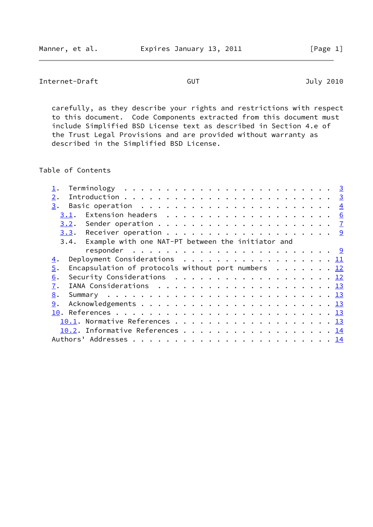Internet-Draft GUT GUT July 2010

 carefully, as they describe your rights and restrictions with respect to this document. Code Components extracted from this document must include Simplified BSD License text as described in Section 4.e of the Trust Legal Provisions and are provided without warranty as described in the Simplified BSD License.

Table of Contents

| 2.                                                                                         |                                                               |  |  |  |  |  |  |  |  |  |  |  |
|--------------------------------------------------------------------------------------------|---------------------------------------------------------------|--|--|--|--|--|--|--|--|--|--|--|
| 3.                                                                                         |                                                               |  |  |  |  |  |  |  |  |  |  |  |
| 3.1.                                                                                       | Extension headers $\ldots \ldots \ldots \ldots \ldots \ldots$ |  |  |  |  |  |  |  |  |  |  |  |
|                                                                                            |                                                               |  |  |  |  |  |  |  |  |  |  |  |
|                                                                                            |                                                               |  |  |  |  |  |  |  |  |  |  |  |
| 3.4. Example with one NAT-PT between the initiator and                                     |                                                               |  |  |  |  |  |  |  |  |  |  |  |
|                                                                                            |                                                               |  |  |  |  |  |  |  |  |  |  |  |
| Deployment Considerations $\ldots \ldots \ldots \ldots \ldots \ldots \underline{11}$<br>4. |                                                               |  |  |  |  |  |  |  |  |  |  |  |
| Encapsulation of protocols without port numbers $\ldots \ldots$ 12<br>5.                   |                                                               |  |  |  |  |  |  |  |  |  |  |  |
| Security Considerations 12<br>6.                                                           |                                                               |  |  |  |  |  |  |  |  |  |  |  |
| 7.                                                                                         |                                                               |  |  |  |  |  |  |  |  |  |  |  |
| 8.                                                                                         |                                                               |  |  |  |  |  |  |  |  |  |  |  |
| 9.                                                                                         |                                                               |  |  |  |  |  |  |  |  |  |  |  |
|                                                                                            |                                                               |  |  |  |  |  |  |  |  |  |  |  |
| 10.1. Normative References 13                                                              |                                                               |  |  |  |  |  |  |  |  |  |  |  |
| 10.2. Informative References 14                                                            |                                                               |  |  |  |  |  |  |  |  |  |  |  |
|                                                                                            |                                                               |  |  |  |  |  |  |  |  |  |  |  |
|                                                                                            |                                                               |  |  |  |  |  |  |  |  |  |  |  |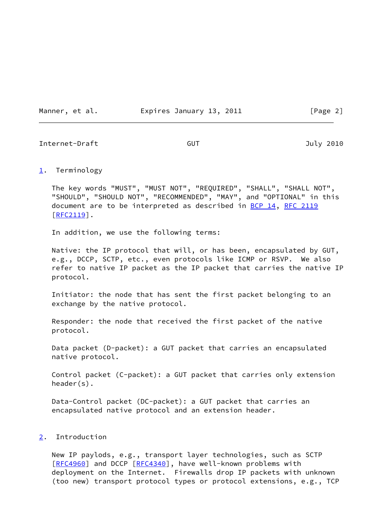Manner, et al. **Expires January 13, 2011** [Page 2]

<span id="page-2-1"></span>Internet-Draft GUT July 2010

<span id="page-2-0"></span>[1](#page-2-0). Terminology

 The key words "MUST", "MUST NOT", "REQUIRED", "SHALL", "SHALL NOT", "SHOULD", "SHOULD NOT", "RECOMMENDED", "MAY", and "OPTIONAL" in this document are to be interpreted as described in [BCP 14](https://datatracker.ietf.org/doc/pdf/bcp14), [RFC 2119](https://datatracker.ietf.org/doc/pdf/rfc2119) [\[RFC2119](https://datatracker.ietf.org/doc/pdf/rfc2119)].

In addition, we use the following terms:

 Native: the IP protocol that will, or has been, encapsulated by GUT, e.g., DCCP, SCTP, etc., even protocols like ICMP or RSVP. We also refer to native IP packet as the IP packet that carries the native IP protocol.

 Initiator: the node that has sent the first packet belonging to an exchange by the native protocol.

 Responder: the node that received the first packet of the native protocol.

 Data packet (D-packet): a GUT packet that carries an encapsulated native protocol.

 Control packet (C-packet): a GUT packet that carries only extension header(s).

 Data-Control packet (DC-packet): a GUT packet that carries an encapsulated native protocol and an extension header.

## <span id="page-2-2"></span>[2](#page-2-2). Introduction

 New IP paylods, e.g., transport layer technologies, such as SCTP [\[RFC4960](https://datatracker.ietf.org/doc/pdf/rfc4960)] and DCCP [[RFC4340\]](https://datatracker.ietf.org/doc/pdf/rfc4340), have well-known problems with deployment on the Internet. Firewalls drop IP packets with unknown (too new) transport protocol types or protocol extensions, e.g., TCP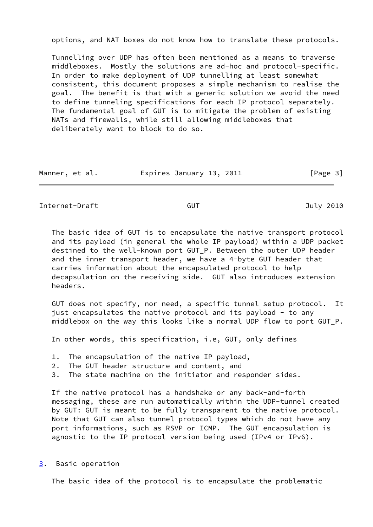options, and NAT boxes do not know how to translate these protocols.

 Tunnelling over UDP has often been mentioned as a means to traverse middleboxes. Mostly the solutions are ad-hoc and protocol-specific. In order to make deployment of UDP tunnelling at least somewhat consistent, this document proposes a simple mechanism to realise the goal. The benefit is that with a generic solution we avoid the need to define tunneling specifications for each IP protocol separately. The fundamental goal of GUT is to mitigate the problem of existing NATs and firewalls, while still allowing middleboxes that deliberately want to block to do so.

| Manner, et al. | Expires January 13, 2011 |  | [Page 3] |
|----------------|--------------------------|--|----------|
|----------------|--------------------------|--|----------|

<span id="page-3-1"></span>Internet-Draft GUT GUT July 2010

 The basic idea of GUT is to encapsulate the native transport protocol and its payload (in general the whole IP payload) within a UDP packet destined to the well-known port GUT\_P. Between the outer UDP header and the inner transport header, we have a 4-byte GUT header that carries information about the encapsulated protocol to help decapsulation on the receiving side. GUT also introduces extension headers.

 GUT does not specify, nor need, a specific tunnel setup protocol. It just encapsulates the native protocol and its payload - to any middlebox on the way this looks like a normal UDP flow to port GUT\_P.

In other words, this specification, i.e, GUT, only defines

- 1. The encapsulation of the native IP payload,
- 2. The GUT header structure and content, and
- 3. The state machine on the initiator and responder sides.

 If the native protocol has a handshake or any back-and-forth messaging, these are run automatically within the UDP-tunnel created by GUT: GUT is meant to be fully transparent to the native protocol. Note that GUT can also tunnel protocol types which do not have any port informations, such as RSVP or ICMP. The GUT encapsulation is agnostic to the IP protocol version being used (IPv4 or IPv6).

<span id="page-3-0"></span>[3](#page-3-0). Basic operation

The basic idea of the protocol is to encapsulate the problematic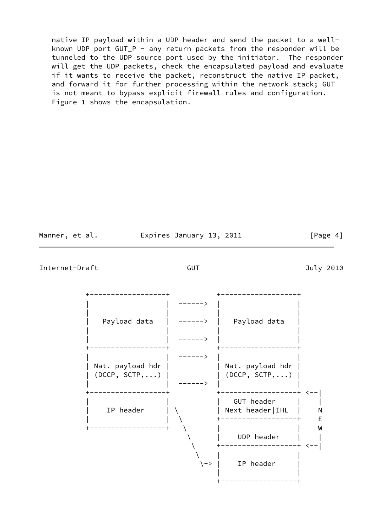native IP payload within a UDP header and send the packet to a well known UDP port GUT\_P - any return packets from the responder will be tunneled to the UDP source port used by the initiator. The responder will get the UDP packets, check the encapsulated payload and evaluate if it wants to receive the packet, reconstruct the native IP packet, and forward it for further processing within the network stack; GUT is not meant to bypass explicit firewall rules and configuration. Figure 1 shows the encapsulation.

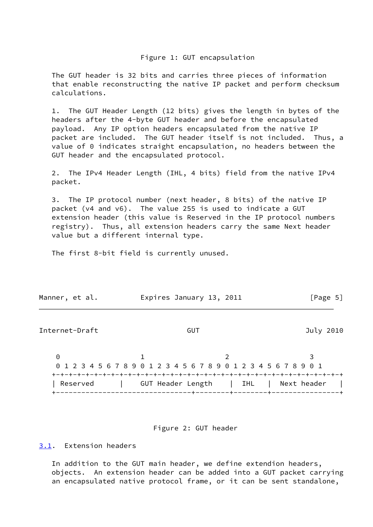## Figure 1: GUT encapsulation

 The GUT header is 32 bits and carries three pieces of information that enable reconstructing the native IP packet and perform checksum calculations.

 1. The GUT Header Length (12 bits) gives the length in bytes of the headers after the 4-byte GUT header and before the encapsulated payload. Any IP option headers encapsulated from the native IP packet are included. The GUT header itself is not included. Thus, a value of 0 indicates straight encapsulation, no headers between the GUT header and the encapsulated protocol.

 2. The IPv4 Header Length (IHL, 4 bits) field from the native IPv4 packet.

 3. The IP protocol number (next header, 8 bits) of the native IP packet (v4 and v6). The value 255 is used to indicate a GUT extension header (this value is Reserved in the IP protocol numbers registry). Thus, all extension headers carry the same Next header value but a different internal type.

The first 8-bit field is currently unused.

<span id="page-5-1"></span>

| Manner, et al. | Expires January 13, 2011                                        | [Page 5]    |
|----------------|-----------------------------------------------------------------|-------------|
| Internet-Draft | GUT                                                             | July 2010   |
| $\Theta$       | 0 1 2 3 4 5 6 7 8 9 0 1 2 3 4 5 6 7 8 9 0 1 2 3 4 5 6 7 8 9 0 1 |             |
| Reserved       | GUT Header Length<br>  IHL                                      | Next header |

Figure 2: GUT header

<span id="page-5-0"></span>[3.1](#page-5-0). Extension headers

 In addition to the GUT main header, we define extendion headers, objects. An extension header can be added into a GUT packet carrying an encapsulated native protocol frame, or it can be sent standalone,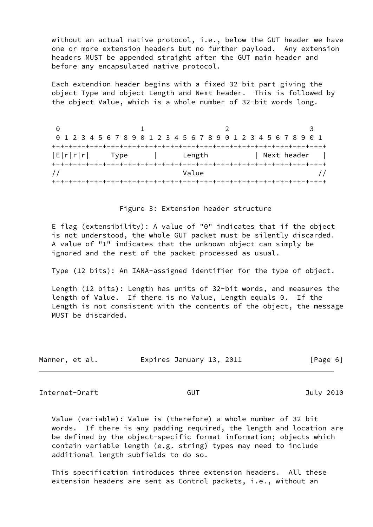without an actual native protocol, i.e., below the GUT header we have one or more extension headers but no further payload. Any extension headers MUST be appended straight after the GUT main header and before any encapsulated native protocol.

 Each extendion header begins with a fixed 32-bit part giving the object Type and object Length and Next header. This is followed by the object Value, which is a whole number of 32-bit words long.

| $(\cdot)$ |                                                                 |                                         |             |
|-----------|-----------------------------------------------------------------|-----------------------------------------|-------------|
|           | 0 1 2 3 4 5 6 7 8 9 0 1 2 3 4 5 6 7 8 9 0 1 2 3 4 5 6 7 8 9 0 1 |                                         |             |
|           |                                                                 |                                         |             |
| E r r r   | Type<br><b>Contract Contract</b>                                | Length                                  | Next header |
|           | --+-+-+-+-+-+-+-+-+-+-+-+-+                                     |                                         |             |
|           |                                                                 | Value                                   |             |
|           |                                                                 | +-+-+-+-+-+-+-+-+-+-+-+-+-+-+-+-+-+-+-+ |             |

### Figure 3: Extension header structure

 E flag (extensibility): A value of "0" indicates that if the object is not understood, the whole GUT packet must be silently discarded. A value of "1" indicates that the unknown object can simply be ignored and the rest of the packet processed as usual.

Type (12 bits): An IANA-assigned identifier for the type of object.

 Length (12 bits): Length has units of 32-bit words, and measures the length of Value. If there is no Value, Length equals 0. If the Length is not consistent with the contents of the object, the message MUST be discarded.

| Manner, et al. | Expires January 13, 2011 | [Page 6] |
|----------------|--------------------------|----------|
|                |                          |          |

<span id="page-6-0"></span>Internet-Draft GUT GUT July 2010

 Value (variable): Value is (therefore) a whole number of 32 bit words. If there is any padding required, the length and location are be defined by the object-specific format information; objects which contain variable length (e.g. string) types may need to include additional length subfields to do so.

 This specification introduces three extension headers. All these extension headers are sent as Control packets, i.e., without an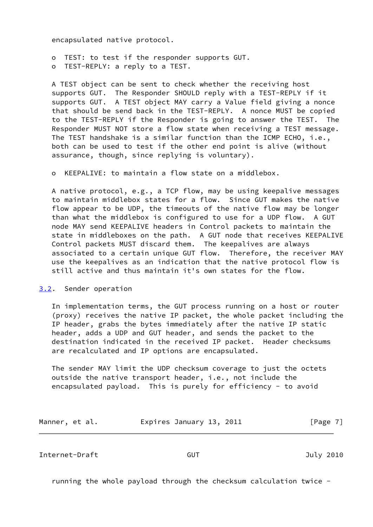encapsulated native protocol.

 o TEST: to test if the responder supports GUT. o TEST-REPLY: a reply to a TEST.

 A TEST object can be sent to check whether the receiving host supports GUT. The Responder SHOULD reply with a TEST-REPLY if it supports GUT. A TEST object MAY carry a Value field giving a nonce that should be send back in the TEST-REPLY. A nonce MUST be copied to the TEST-REPLY if the Responder is going to answer the TEST. The Responder MUST NOT store a flow state when receiving a TEST message. The TEST handshake is a similar function than the ICMP ECHO, i.e., both can be used to test if the other end point is alive (without assurance, though, since replying is voluntary).

o KEEPALIVE: to maintain a flow state on a middlebox.

 A native protocol, e.g., a TCP flow, may be using keepalive messages to maintain middlebox states for a flow. Since GUT makes the native flow appear to be UDP, the timeouts of the native flow may be longer than what the middlebox is configured to use for a UDP flow. A GUT node MAY send KEEPALIVE headers in Control packets to maintain the state in middleboxes on the path. A GUT node that receives KEEPALIVE Control packets MUST discard them. The keepalives are always associated to a certain unique GUT flow. Therefore, the receiver MAY use the keepalives as an indication that the native protocol flow is still active and thus maintain it's own states for the flow.

# <span id="page-7-0"></span>[3.2](#page-7-0). Sender operation

 In implementation terms, the GUT process running on a host or router (proxy) receives the native IP packet, the whole packet including the IP header, grabs the bytes immediately after the native IP static header, adds a UDP and GUT header, and sends the packet to the destination indicated in the received IP packet. Header checksums are recalculated and IP options are encapsulated.

 The sender MAY limit the UDP checksum coverage to just the octets outside the native transport header, i.e., not include the encapsulated payload. This is purely for efficiency - to avoid

| Manner, et al. | Expires January 13, 2011 | [Page 7] |
|----------------|--------------------------|----------|
|----------------|--------------------------|----------|

Internet-Draft GUT July 2010

running the whole payload through the checksum calculation twice -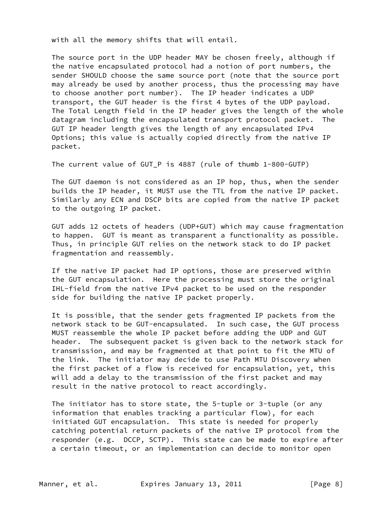with all the memory shifts that will entail.

 The source port in the UDP header MAY be chosen freely, although if the native encapsulated protocol had a notion of port numbers, the sender SHOULD choose the same source port (note that the source port may already be used by another process, thus the processing may have to choose another port number). The IP header indicates a UDP transport, the GUT header is the first 4 bytes of the UDP payload. The Total Length field in the IP header gives the length of the whole datagram including the encapsulated transport protocol packet. The GUT IP header length gives the length of any encapsulated IPv4 Options; this value is actually copied directly from the native IP packet.

The current value of GUT\_P is 4887 (rule of thumb 1-800-GUTP)

 The GUT daemon is not considered as an IP hop, thus, when the sender builds the IP header, it MUST use the TTL from the native IP packet. Similarly any ECN and DSCP bits are copied from the native IP packet to the outgoing IP packet.

 GUT adds 12 octets of headers (UDP+GUT) which may cause fragmentation to happen. GUT is meant as transparent a functionality as possible. Thus, in principle GUT relies on the network stack to do IP packet fragmentation and reassembly.

 If the native IP packet had IP options, those are preserved within the GUT encapsulation. Here the processing must store the original IHL-field from the native IPv4 packet to be used on the responder side for building the native IP packet properly.

 It is possible, that the sender gets fragmented IP packets from the network stack to be GUT-encapsulated. In such case, the GUT process MUST reassemble the whole IP packet before adding the UDP and GUT header. The subsequent packet is given back to the network stack for transmission, and may be fragmented at that point to fit the MTU of the link. The initiator may decide to use Path MTU Discovery when the first packet of a flow is received for encapsulation, yet, this will add a delay to the transmission of the first packet and may result in the native protocol to react accordingly.

 The initiator has to store state, the 5-tuple or 3-tuple (or any information that enables tracking a particular flow), for each initiated GUT encapsulation. This state is needed for properly catching potential return packets of the native IP protocol from the responder (e.g. DCCP, SCTP). This state can be made to expire after a certain timeout, or an implementation can decide to monitor open

Manner, et al. **Expires January 13, 2011** [Page 8]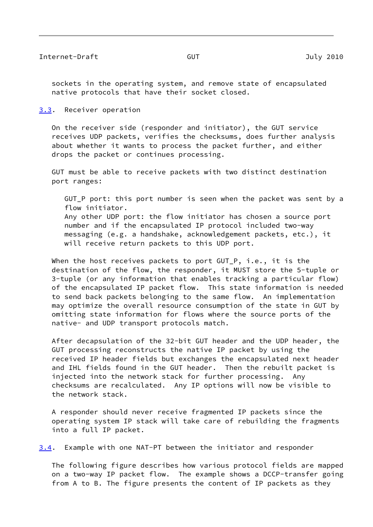<span id="page-9-1"></span> sockets in the operating system, and remove state of encapsulated native protocols that have their socket closed.

<span id="page-9-0"></span>[3.3](#page-9-0). Receiver operation

 On the receiver side (responder and initiator), the GUT service receives UDP packets, verifies the checksums, does further analysis about whether it wants to process the packet further, and either drops the packet or continues processing.

 GUT must be able to receive packets with two distinct destination port ranges:

GUT P port: this port number is seen when the packet was sent by a flow initiator. Any other UDP port: the flow initiator has chosen a source port number and if the encapsulated IP protocol included two-way messaging (e.g. a handshake, acknowledgement packets, etc.), it will receive return packets to this UDP port.

When the host receives packets to port GUT P, i.e., it is the destination of the flow, the responder, it MUST store the 5-tuple or 3-tuple (or any information that enables tracking a particular flow) of the encapsulated IP packet flow. This state information is needed to send back packets belonging to the same flow. An implementation may optimize the overall resource consumption of the state in GUT by omitting state information for flows where the source ports of the native- and UDP transport protocols match.

 After decapsulation of the 32-bit GUT header and the UDP header, the GUT processing reconstructs the native IP packet by using the received IP header fields but exchanges the encapsulated next header and IHL fields found in the GUT header. Then the rebuilt packet is injected into the network stack for further processing. Any checksums are recalculated. Any IP options will now be visible to the network stack.

 A responder should never receive fragmented IP packets since the operating system IP stack will take care of rebuilding the fragments into a full IP packet.

<span id="page-9-2"></span>[3.4](#page-9-2). Example with one NAT-PT between the initiator and responder

 The following figure describes how various protocol fields are mapped on a two-way IP packet flow. The example shows a DCCP-transfer going from A to B. The figure presents the content of IP packets as they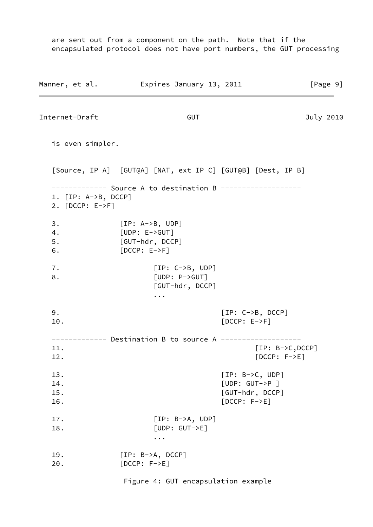are sent out from a component on the path. Note that if the encapsulated protocol does not have port numbers, the GUT processing

Manner, et al. **Expires January 13, 2011** [Page 9] Internet-Draft GUT GUT July 2010 is even simpler. [Source, IP A] [GUT@A] [NAT, ext IP C] [GUT@B] [Dest, IP B] ------------- Source A to destination B ------------------- 1. [IP: A->B, DCCP] 2. [DCCP: E->F] 3. [IP: A->B, UDP] 4. [UDP: E->GUT] 5. [GUT-hdr, DCCP] 6. [DCCP: E->F] 7. [IP: C->B, UDP] 8. [UDP: P->GUT] [GUT-hdr, DCCP] ... 9. [IP: C->B, DCCP] 10. [DCCP: E->F] ------------- Destination B to source A ------------------- 11. [IP: B->C,DCCP] 12. [DCCP: F->E] 13. [IP: B->C, UDP] 14. [UDP: GUT->P ] 15. [GUT-hdr, DCCP] 16. [DCCP: F->E] 17. [IP: B->A, UDP] 18. [UDP: GUT->E] ... 19. [IP: B->A, DCCP] 20. [DCCP: F->E] Figure 4: GUT encapsulation example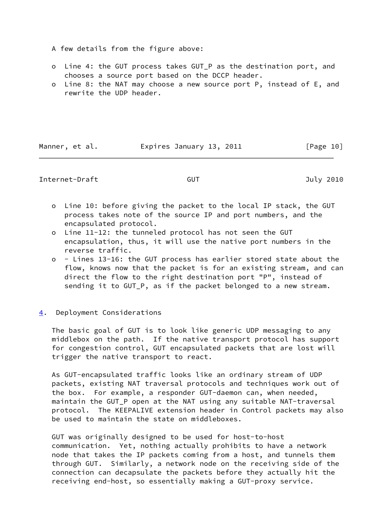- A few details from the figure above:
- o Line 4: the GUT process takes GUT\_P as the destination port, and chooses a source port based on the DCCP header.
- o Line 8: the NAT may choose a new source port P, instead of E, and rewrite the UDP header.

Manner, et al. **Expires January 13, 2011** [Page 10]

## <span id="page-11-1"></span>Internet-Draft GUT GUT July 2010

- o Line 10: before giving the packet to the local IP stack, the GUT process takes note of the source IP and port numbers, and the encapsulated protocol.
- o Line 11-12: the tunneled protocol has not seen the GUT encapsulation, thus, it will use the native port numbers in the reverse traffic.
- o Lines 13-16: the GUT process has earlier stored state about the flow, knows now that the packet is for an existing stream, and can direct the flow to the right destination port "P", instead of sending it to GUT\_P, as if the packet belonged to a new stream.

## <span id="page-11-0"></span>[4](#page-11-0). Deployment Considerations

 The basic goal of GUT is to look like generic UDP messaging to any middlebox on the path. If the native transport protocol has support for congestion control, GUT encapsulated packets that are lost will trigger the native transport to react.

 As GUT-encapsulated traffic looks like an ordinary stream of UDP packets, existing NAT traversal protocols and techniques work out of the box. For example, a responder GUT-daemon can, when needed, maintain the GUT\_P open at the NAT using any suitable NAT-traversal protocol. The KEEPALIVE extension header in Control packets may also be used to maintain the state on middleboxes.

 GUT was originally designed to be used for host-to-host communication. Yet, nothing actually prohibits to have a network node that takes the IP packets coming from a host, and tunnels them through GUT. Similarly, a network node on the receiving side of the connection can decapsulate the packets before they actually hit the receiving end-host, so essentially making a GUT-proxy service.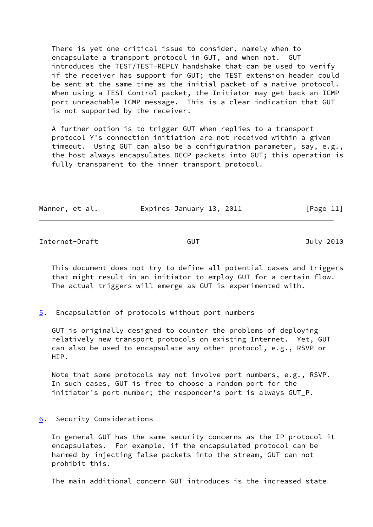There is yet one critical issue to consider, namely when to encapsulate a transport protocol in GUT, and when not. GUT introduces the TEST/TEST-REPLY handshake that can be used to verify if the receiver has support for GUT; the TEST extension header could be sent at the same time as the initial packet of a native protocol. When using a TEST Control packet, the Initiator may get back an ICMP port unreachable ICMP message. This is a clear indication that GUT is not supported by the receiver.

 A further option is to trigger GUT when replies to a transport protocol Y's connection initiation are not received within a given timeout. Using GUT can also be a configuration parameter, say, e.g., the host always encapsulates DCCP packets into GUT; this operation is fully transparent to the inner transport protocol.

|  | Manner, et al. | Expires January 13, 2011 | [Page 11] |
|--|----------------|--------------------------|-----------|
|--|----------------|--------------------------|-----------|

<span id="page-12-1"></span>Internet-Draft GUT GUT July 2010

 This document does not try to define all potential cases and triggers that might result in an initiator to employ GUT for a certain flow. The actual triggers will emerge as GUT is experimented with.

<span id="page-12-0"></span>[5](#page-12-0). Encapsulation of protocols without port numbers

 GUT is originally designed to counter the problems of deploying relatively new transport protocols on existing Internet. Yet, GUT can also be used to encapsulate any other protocol, e.g., RSVP or HTP.

 Note that some protocols may not involve port numbers, e.g., RSVP. In such cases, GUT is free to choose a random port for the initiator's port number; the responder's port is always GUT\_P.

<span id="page-12-2"></span>[6](#page-12-2). Security Considerations

 In general GUT has the same security concerns as the IP protocol it encapsulates. For example, if the encapsulated protocol can be harmed by injecting false packets into the stream, GUT can not prohibit this.

The main additional concern GUT introduces is the increased state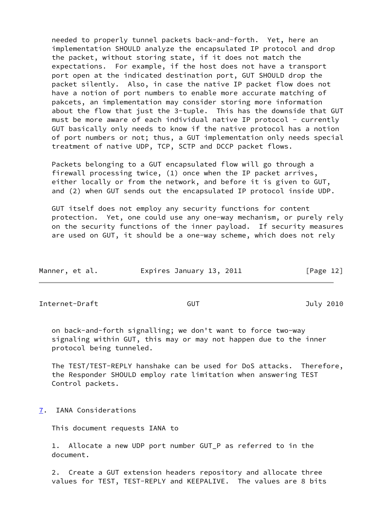needed to properly tunnel packets back-and-forth. Yet, here an implementation SHOULD analyze the encapsulated IP protocol and drop the packet, without storing state, if it does not match the expectations. For example, if the host does not have a transport port open at the indicated destination port, GUT SHOULD drop the packet silently. Also, in case the native IP packet flow does not have a notion of port numbers to enable more accurate matching of pakcets, an implementation may consider storing more information about the flow that just the 3-tuple. This has the downside that GUT must be more aware of each individual native IP protocol - currently GUT basically only needs to know if the native protocol has a notion of port numbers or not; thus, a GUT implementation only needs special treatment of native UDP, TCP, SCTP and DCCP packet flows.

 Packets belonging to a GUT encapsulated flow will go through a firewall processing twice, (1) once when the IP packet arrives, either locally or from the network, and before it is given to GUT, and (2) when GUT sends out the encapsulated IP protocol inside UDP.

 GUT itself does not employ any security functions for content protection. Yet, one could use any one-way mechanism, or purely rely on the security functions of the inner payload. If security measures are used on GUT, it should be a one-way scheme, which does not rely

| Manner, et al. | Expires January 13, 2011 | [Page 12] |
|----------------|--------------------------|-----------|
|                |                          |           |

<span id="page-13-1"></span>Internet-Draft GUT GUT 3010

 on back-and-forth signalling; we don't want to force two-way signaling within GUT, this may or may not happen due to the inner protocol being tunneled.

 The TEST/TEST-REPLY hanshake can be used for DoS attacks. Therefore, the Responder SHOULD employ rate limitation when answering TEST Control packets.

<span id="page-13-0"></span>[7](#page-13-0). IANA Considerations

This document requests IANA to

 1. Allocate a new UDP port number GUT\_P as referred to in the document.

 2. Create a GUT extension headers repository and allocate three values for TEST, TEST-REPLY and KEEPALIVE. The values are 8 bits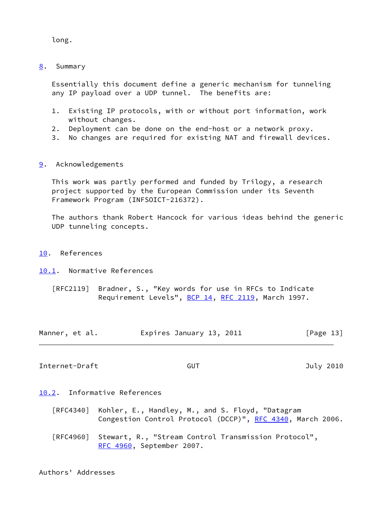long.

<span id="page-14-0"></span>[8](#page-14-0). Summary

 Essentially this document define a generic mechanism for tunneling any IP payload over a UDP tunnel. The benefits are:

- 1. Existing IP protocols, with or without port information, work without changes.
- 2. Deployment can be done on the end-host or a network proxy.
- 3. No changes are required for existing NAT and firewall devices.
- <span id="page-14-1"></span>[9](#page-14-1). Acknowledgements

 This work was partly performed and funded by Trilogy, a research project supported by the European Commission under its Seventh Framework Program (INFSOICT-216372).

 The authors thank Robert Hancock for various ideas behind the generic UDP tunneling concepts.

- <span id="page-14-2"></span>[10.](#page-14-2) References
- <span id="page-14-3"></span>[10.1](#page-14-3). Normative References
	- [RFC2119] Bradner, S., "Key words for use in RFCs to Indicate Requirement Levels", [BCP 14](https://datatracker.ietf.org/doc/pdf/bcp14), [RFC 2119](https://datatracker.ietf.org/doc/pdf/rfc2119), March 1997.

| Manner, et al. | Expires January 13, 2011 | [Page 13] |
|----------------|--------------------------|-----------|
|----------------|--------------------------|-----------|

<span id="page-14-5"></span>Internet-Draft GUT GUT 3010

<span id="page-14-4"></span>[10.2](#page-14-4). Informative References

 [RFC4340] Kohler, E., Handley, M., and S. Floyd, "Datagram Congestion Control Protocol (DCCP)", [RFC 4340](https://datatracker.ietf.org/doc/pdf/rfc4340), March 2006.

 [RFC4960] Stewart, R., "Stream Control Transmission Protocol", [RFC 4960,](https://datatracker.ietf.org/doc/pdf/rfc4960) September 2007.

Authors' Addresses